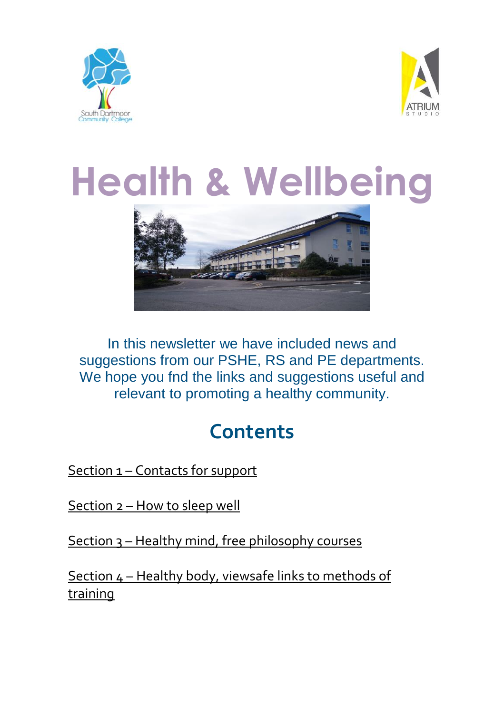



# **Health & Wellbeing**



In this newsletter we have included news and suggestions from our PSHE, RS and PE departments. We hope you fnd the links and suggestions useful and relevant to promoting a healthy community.

### **Contents**

Section 1 – [Contacts](#page-0-0) for support

[Section](#page-4-0) 2 – How to sleep well

Section 3 – Healthy mind, free [philosophy](#page-8-0) courses

<span id="page-0-0"></span>Section 4 – Healthy body, viewsafe links to [methods](#page-10-0) of [training](#page-10-0)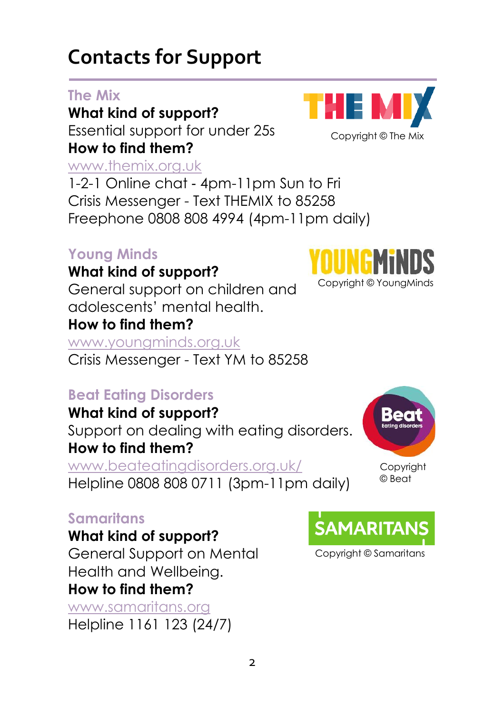### **Contacts for Support**

#### **The Mix**

**What kind of support?** Essential support for under 25s **How to find them?**

#### [www.themix.org.uk](http://www.themix.org.uk/)

1-2-1 Online chat - 4pm-11pm Sun to Fri Crisis Messenger - Text THEMIX to 85258 Freephone 0808 808 4994 (4pm-11pm daily)

#### **Young Minds**

#### **What kind of support?**

General support on children and adolescents' mental health.

#### **How to find them?**

[www.youngminds.org.uk](http://www.youngminds.org.uk/)

Crisis Messenger - Text YM to 85258

#### **Beat Eating Disorders**

**What kind of support?** Support on dealing with eating disorders. **How to find them?**

[www.beateatingdisorders.org.uk/](https://www.beateatingdisorders.org.uk/)

#### Helpline 0808 808 0711 (3pm-11pm daily)

#### **Samaritans**

**What kind of support?**

General Support on Mental Health and Wellbeing.

#### **How to find them?**

[www.samaritans.org](http://www.samaritans.org/) Helpline 1161 123 (24/7)









Copyright © Samaritans

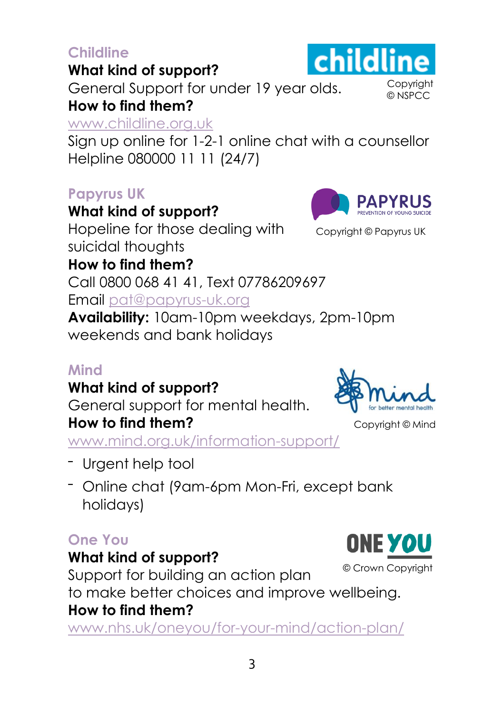#### **Childline**

#### **What kind of support?**

General Support for under 19 year olds. **How to find them?**

#### [www.childline.org.uk](http://www.childline.org.uk/)

Sign up online for 1-2-1 online chat with a counsellor Helpline 080000 11 11 (24/7)

#### **Papyrus UK**

**What kind of support?**

Hopeline for those dealing with suicidal thoughts

**How to find them?** Call 0800 068 41 41, Text 07786209697 Email [pat@papyrus-uk.org](mailto:pat@papyrus-uk.org)

**Availability:** 10am-10pm weekdays, 2pm-10pm weekends and bank holidays

#### **Mind**

**What kind of support?**

General support for mental health.

#### **How to find them?**

[www.mind.org.uk/information-support/](http://www.mind.org.uk/information-support/)

- Urgent help tool
- Online chat (9am-6pm Mon-Fri, except bank holidays)

#### **One You**

#### **What kind of support?**

Support for building an action plan to make better choices and improve wellbeing. **How to find them?**

[www.nhs.uk/oneyou/for-your-mind/action-plan/](https://www.nhs.uk/oneyou/for-your-mind/action-plan/)



Copyright © NSPCC



Copyright © Mind

Copyright © Papyrus UK

**PAPYRUS** 

childline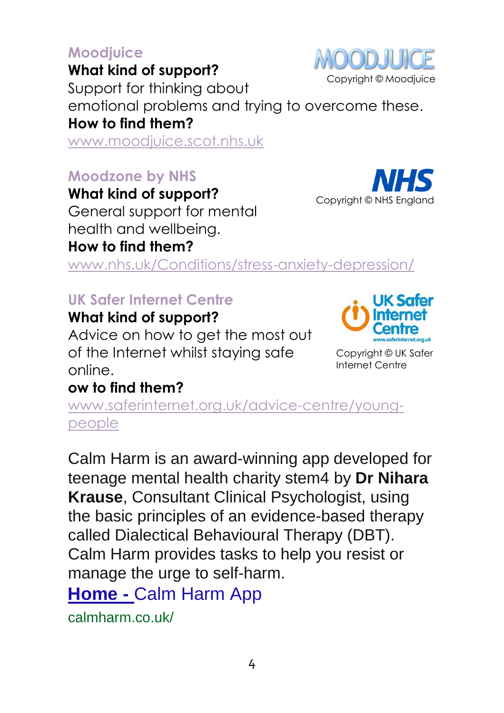#### 4

#### **Moodjuice**

**What kind of support?**

Support for thinking about emotional problems and trying to overcome these. **How to find them?**

[www.moodjuice.scot.nhs.uk](http://www.moodjuice.scot.nhs.uk/)

#### **Moodzone by NHS**

**What kind of support?** General support for mental health and wellbeing. **How to find them?**

[www.nhs.uk/Conditions/stress-anxiety-depression/](https://www.nhs.uk/Conditions/stress-anxiety-depression/)

#### **UK Safer Internet Centre**

#### **What kind of support?**

Advice on how to get the most out of the Internet whilst staying safe online.

#### **ow to find them?**

[www.saferinternet.org.uk/advice-centre/young](https://www.saferinternet.org.uk/advice-centre/young-people)[people](https://www.saferinternet.org.uk/advice-centre/young-people)

Calm Harm is an award-winning app developed for teenage mental health charity stem4 by **Dr Nihara Krause**, Consultant Clinical Psychologist, using the basic principles of an evidence-based therapy called Dialectical Behavioural Therapy (DBT). Calm Harm provides tasks to help you resist or manage the urge to self-harm. **Home -** [Calm Harm App](https://calmharm.co.uk/#:~:text=Calm%20Harm%20is%20an%20award-winning%20app%20developed%20for,you%20resist%20or%20manage%20the%20urge%20to%20self-harm.)

calmharm.co.uk/

Copyright © UK Safer Internet Centre



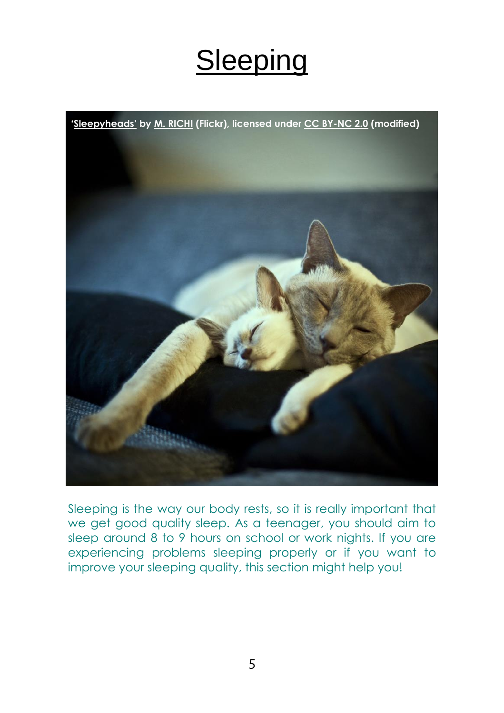# **Sleeping**

<span id="page-4-0"></span>

Sleeping is the way our body rests, so it is really important that we get good quality sleep. As a teenager, you should aim to sleep around 8 to 9 hours on school or work nights. If you are experiencing problems sleeping properly or if you want to improve your sleeping quality, this section might help you!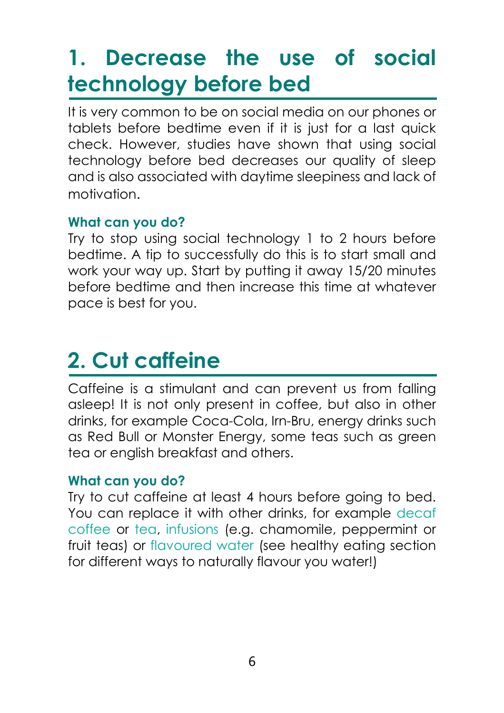## **1. Decrease the use of social technology before bed**

It is very common to be on social media on our phones or tablets before bedtime even if it is just for a last quick check. However, studies have shown that using social technology before bed decreases our quality of sleep and is also associated with daytime sleepiness and lack of motivation.

#### **What can you do?**

Try to stop using social technology 1 to 2 hours before bedtime. A tip to successfully do this is to start small and work your way up. Start by putting it away 15/20 minutes before bedtime and then increase this time at whatever pace is best for you.

# **2. Cut caffeine**

Caffeine is a stimulant and can prevent us from falling asleep! It is not only present in coffee, but also in other drinks, for example Coca-Cola, Irn-Bru, energy drinks such as Red Bull or Monster Energy, some teas such as green tea or english breakfast and others.

#### **What can you do?**

Try to cut caffeine at least 4 hours before going to bed. You can replace it with other drinks, for example decaf coffee or tea, infusions (e.g. chamomile, peppermint or fruit teas) or flavoured water (see healthy eating section for different ways to naturally flavour you water!)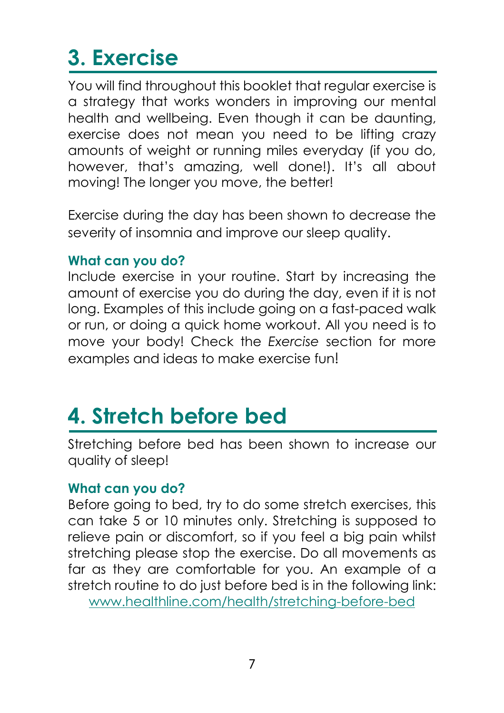# **3. Exercise**

You will find throughout this booklet that regular exercise is a strategy that works wonders in improving our mental health and wellbeing. Even though it can be daunting, exercise does not mean you need to be lifting crazy amounts of weight or running miles everyday (if you do, however, that's amazing, well done!). It's all about moving! The longer you move, the better!

Exercise during the day has been shown to decrease the severity of insomnia and improve our sleep quality.

#### **What can you do?**

Include exercise in your routine. Start by increasing the amount of exercise you do during the day, even if it is not long. Examples of this include going on a fast-paced walk or run, or doing a quick home workout. All you need is to move your body! Check the *Exercise* section for more examples and ideas to make exercise fun!

## **4. Stretch before bed**

Stretching before bed has been shown to increase our quality of sleep!

#### **What can you do?**

Before going to bed, try to do some stretch exercises, this can take 5 or 10 minutes only. Stretching is supposed to relieve pain or discomfort, so if you feel a big pain whilst stretching please stop the exercise. Do all movements as far as they are comfortable for you. An example of a stretch routine to do just before bed is in the following link: [www.healthline.com/health/stretching-before-bed](https://www.healthline.com/health/stretching-before-bed)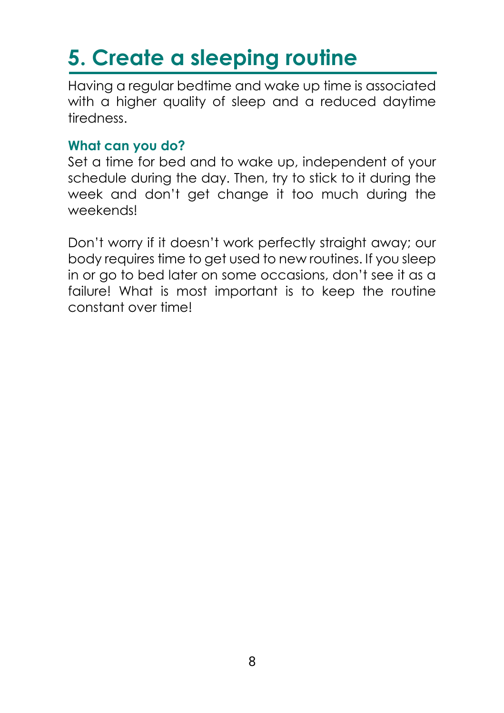# **5. Create a sleeping routine**

Having a regular bedtime and wake up time is associated with a higher quality of sleep and a reduced daytime tiredness.

#### **What can you do?**

Set a time for bed and to wake up, independent of your schedule during the day. Then, try to stick to it during the week and don't get change it too much during the weekends!

Don't worry if it doesn't work perfectly straight away; our body requires time to get used to new routines. If you sleep in or go to bed later on some occasions, don't see it as a failure! What is most important is to keep the routine constant over time!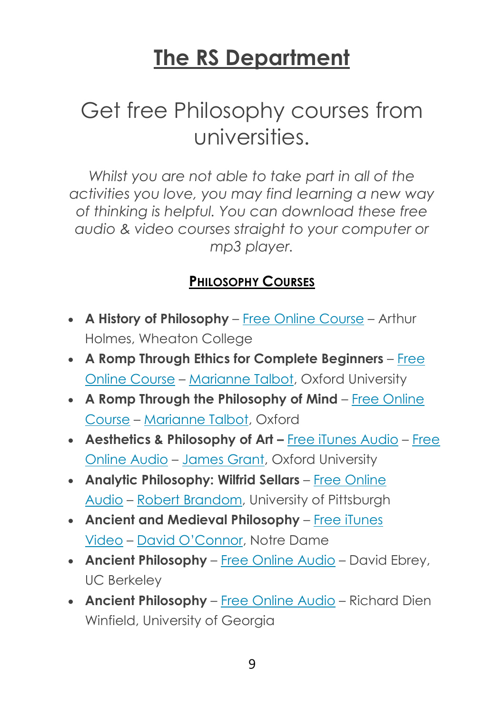### **The RS Department**

### Get free Philosophy courses from universities.

*Whilst you are not able to take part in all of the activities you love, you may find learning a new way of thinking is helpful. You can download these free audio & video courses straight to your computer or mp3 player.*

#### <span id="page-8-0"></span>**P[HILOSOPHY](https://www.openculture.com/philosophy_free_courses#Philosophy%20Courses) COURSES**

- **A History of Philosophy** Free Online [Course](http://www.openculture.com/a-history-of-philosophy-in-81-video-lectures) Arthur Holmes, Wheaton College
- **A Romp Through Ethics for Complete Beginners** [Free](http://www.openculture.com/2014/03/oxfords-free-course-a-romp-through-ethics-for-complete-beginners.html) Online [Course](http://www.openculture.com/2014/03/oxfords-free-course-a-romp-through-ethics-for-complete-beginners.html) – [Marianne](http://www.philosophy.ox.ac.uk/members/other_facultiesdepartments/marianne_talbot) Talbot, Oxford University
- **A Romp Through the Philosophy of Mind** Free [Online](http://www.openculture.com/2014/03/a-romp-through-the-philosophy-of-mind-a-free-online-course-from-oxford.html) [Course](http://www.openculture.com/2014/03/a-romp-through-the-philosophy-of-mind-a-free-online-course-from-oxford.html) – [Marianne](http://www.philosophy.ox.ac.uk/members/other_facultiesdepartments/marianne_talbot) Talbot, Oxford
- **Aesthetics & Philosophy of Art –** Free iTunes [Audio](http://itunes.apple.com/WebObjects/MZStore.woa/wa/viewPodcast?id=426430244) [Free](http://podcasts.ox.ac.uk/series/aesthetics-and-philosophy-art-lectures) [Online](http://podcasts.ox.ac.uk/series/aesthetics-and-philosophy-art-lectures) Audio – [James](http://www.philosophy.ox.ac.uk/members/philosophy_panel/grant_j) Grant, Oxford University
- **Analytic Philosophy: Wilfrid Sellars** Free [Online](http://www.pitt.edu/~brandom/phil-2245/) [Audio](http://www.pitt.edu/~brandom/phil-2245/) – Robert [Brandom,](http://www.pitt.edu/~rbrandom/) University of Pittsburgh
- **Ancient and Medieval Philosophy** Free [iTunes](http://itunes.apple.com/us/itunes-u/ancient-medieval-philosophy/id382668779) [Video](http://itunes.apple.com/us/itunes-u/ancient-medieval-philosophy/id382668779) – David [O'Connor](https://philosophy.nd.edu/people/faculty/david-oconnor/), Notre Dame
- **Ancient Philosophy** Free [Online](https://archive.org/details/Philosophy_25A_Fall_2008_UC_Berkeley_Ancient_Philosophy) Audio David Ebrey, UC Berkeley
- **Ancient Philosophy** Free [Online](https://archive.org/details/LectureCourseOnAncientPhilosophy) Audio Richard Dien Winfield, University of Georgia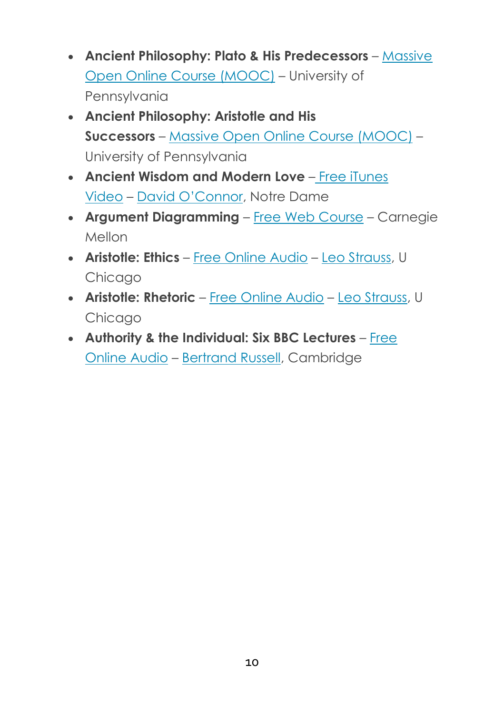- **Ancient Philosophy: Plato & His Predecessors** [Massive](https://click.linksynergy.com/deeplink?id=Cu8bOePBZBg&mid=40328&murl=https%3A%2F%2Fwww.coursera.org%2Flearn%2Fplato) Open Online Course [\(MOOC\)](https://click.linksynergy.com/deeplink?id=Cu8bOePBZBg&mid=40328&murl=https%3A%2F%2Fwww.coursera.org%2Flearn%2Fplato) – University of Pennsylvania
- **Ancient Philosophy: Aristotle and His Successors** – Massive Open Online Course [\(MOOC\)](https://click.linksynergy.com/deeplink?id=Cu8bOePBZBg&mid=40328&murl=https%3A%2F%2Fwww.coursera.org%2Flearn%2Faristotle) – University of Pennsylvania
- **Ancient Wisdom and Modern Love** Free [iTunes](http://itunes.apple.com/us/itunes-u/ancient-wisdom-modern-love/id382669109) [Video](http://itunes.apple.com/us/itunes-u/ancient-wisdom-modern-love/id382669109) – David [O'Connor](https://philosophy.nd.edu/people/faculty/david-oconnor/), Notre Dame
- **Argument Diagramming** Free Web [Course](http://oli.cmu.edu/courses/free-open/argument-diagramming-course-details/) Carnegie Mellon
- **Aristotle: Ethics** Free [Online](http://leostrausscenter.uchicago.edu/course/aristotle-ethics) Audio Leo [Strauss,](http://plato.stanford.edu/entries/strauss-leo/) U Chicago
- **Aristotle: Rhetoric** Free [Online](http://leostrausscenter.uchicago.edu/course/aristotle-rhetoric-spring-quarter-1964) Audio Leo [Strauss,](http://plato.stanford.edu/entries/strauss-leo/) U Chicago
- **Authority & the Individual: Six BBC Lectures** [Free](http://www.openculture.com/bertrand-russell-authority-individual-1948) [Online](http://www.openculture.com/bertrand-russell-authority-individual-1948) Audio – [Bertrand](http://plato.stanford.edu/entries/russell/) Russell, Cambridge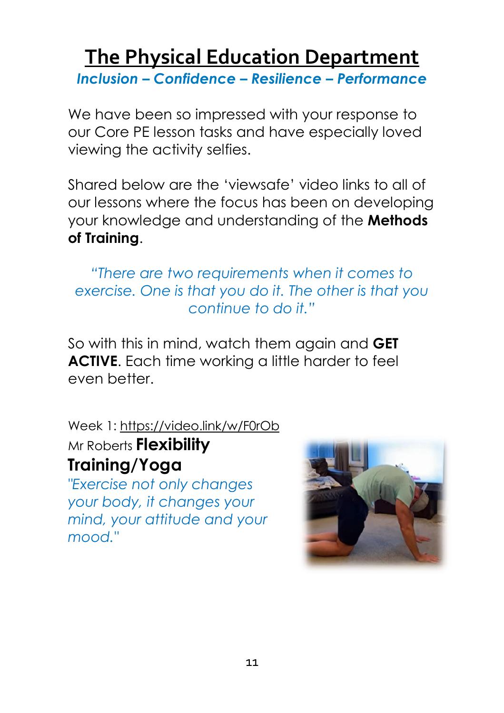### <span id="page-10-0"></span>**The Physical Education Department**

*Inclusion – Confidence – Resilience – Performance*

We have been so impressed with your response to our Core PE lesson tasks and have especially loved viewing the activity selfies.

Shared below are the 'viewsafe' video links to all of our lessons where the focus has been on developing your knowledge and understanding of the **Methods of Training**.

*"There are two requirements when it comes to exercise. One is that you do it. The other is that you continue to do it."*

So with this in mind, watch them again and **GET ACTIVE.** Each time working a little harder to feel even better.

Week 1: <https://video.link/w/F0rOb> Mr Roberts **Flexibility**

#### **Training/Yoga**

*"Exercise not only changes your body, it changes your mind, your attitude and your mood."*

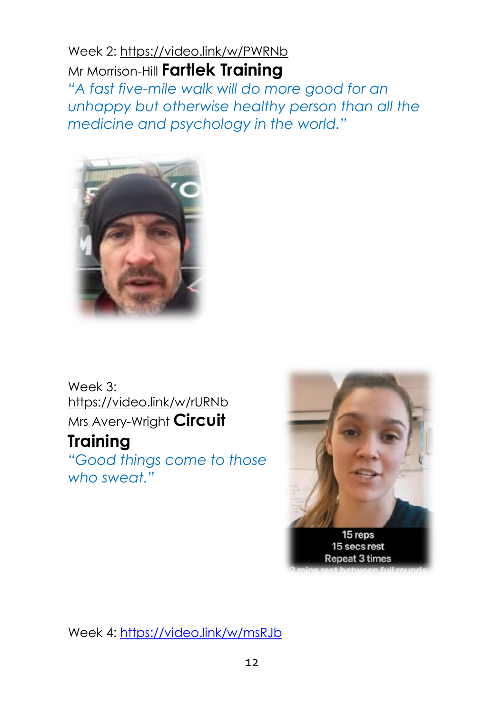#### Week 2: <https://video.link/w/PWRNb> Mr Morrison-Hill **Fartlek Training**

*"A fast five-mile walk will do more good for an unhappy but otherwise healthy person than all the medicine and psychology in the world."*



Week 3: <https://video.link/w/rURNb> Mrs Avery-Wright **Circuit**

**Training**

*"Good things come to those who sweat."*



Week 4: <https://video.link/w/msRJb>